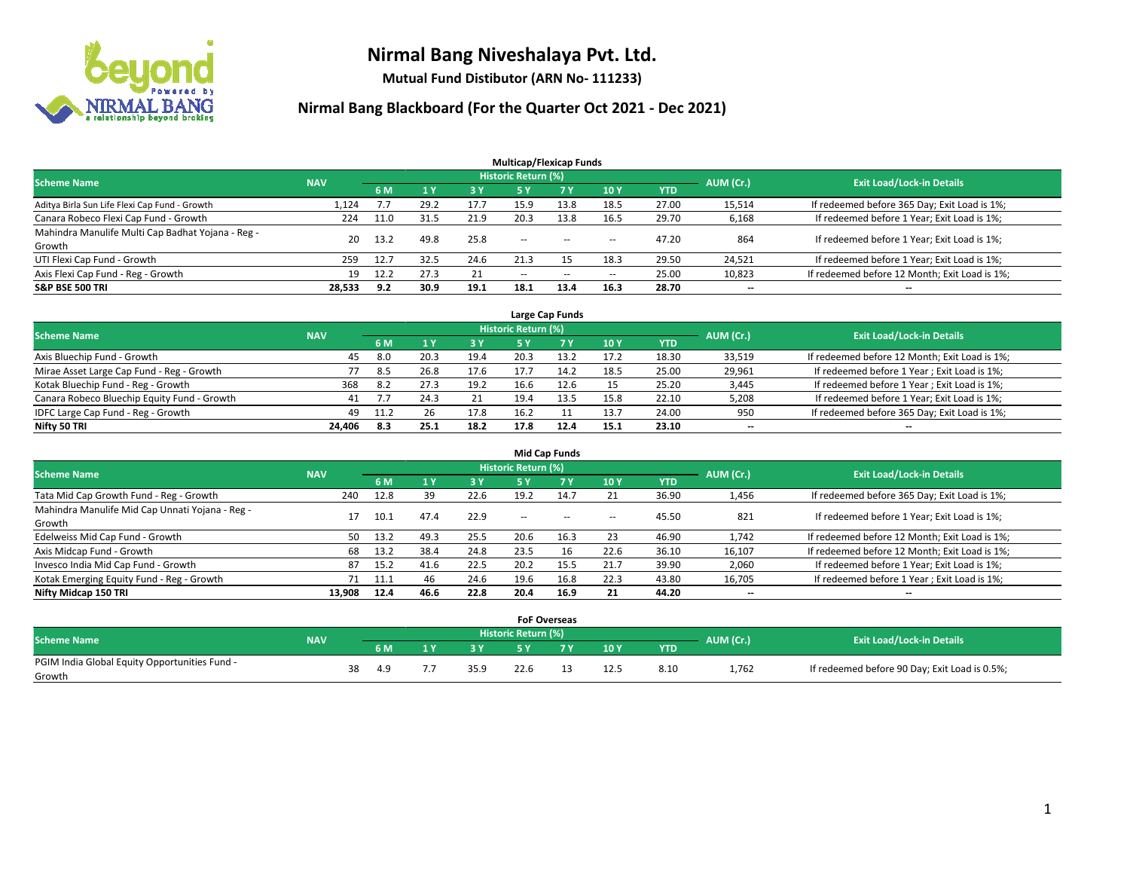

**Mutual Fund Distibutor (ARN No- 111233)**

|                                                   |            |      |      |      | <b>Multicap/Flexicap Funds</b> |           |                          |            |                          |                                               |
|---------------------------------------------------|------------|------|------|------|--------------------------------|-----------|--------------------------|------------|--------------------------|-----------------------------------------------|
| <b>Scheme Name</b>                                | <b>NAV</b> |      |      |      | Historic Return (%)            |           |                          |            | AUM (Cr.)                | <b>Exit Load/Lock-in Details</b>              |
|                                                   |            | 6 M  |      | 3 Y  | <b>5 Y</b>                     | <b>7Y</b> | <b>10Y</b>               | <b>YTD</b> |                          |                                               |
| Aditya Birla Sun Life Flexi Cap Fund - Growth     | 1,124      | 7.7  | 29.2 | 17.7 | 15.9                           | 13.8      | 18.5                     | 27.00      | 15,514                   | If redeemed before 365 Day; Exit Load is 1%;  |
| Canara Robeco Flexi Cap Fund - Growth             | 224        | 11.0 | 31.5 | 21.9 | 20.3                           | 13.8      | 16.5                     | 29.70      | 6,168                    | If redeemed before 1 Year; Exit Load is 1%;   |
| Mahindra Manulife Multi Cap Badhat Yojana - Reg - | 20         | 13.2 | 49.8 | 25.8 | $\sim$ $\sim$                  | $-$       | --                       | 47.20      | 864                      | If redeemed before 1 Year; Exit Load is 1%;   |
| Growth                                            |            |      |      |      |                                |           |                          |            |                          |                                               |
| UTI Flexi Cap Fund - Growth                       | 259        | 12.7 | 32.5 | 24.6 | 21.3                           | 15        | 18.3                     | 29.50      | 24,521                   | If redeemed before 1 Year; Exit Load is 1%;   |
| Axis Flexi Cap Fund - Reg - Growth                | 19         | 12.2 | 27.3 | 21   | $\overline{\phantom{m}}$       | $\sim$    | $\overline{\phantom{a}}$ | 25.00      | 10,823                   | If redeemed before 12 Month; Exit Load is 1%; |
| <b>S&amp;P BSE 500 TRI</b>                        | 28,533     | 9.2  | 30.9 | 19.1 | 18.1                           | 13.4      | 16.3                     | 28.70      | $\overline{\phantom{a}}$ | $\overline{\phantom{a}}$                      |

| Large Cap Funds                             |            |      |      |      |                     |      |      |       |                          |                                               |  |  |  |
|---------------------------------------------|------------|------|------|------|---------------------|------|------|-------|--------------------------|-----------------------------------------------|--|--|--|
| <b>Scheme Name</b>                          | <b>NAV</b> |      |      |      | Historic Return (%) |      |      |       | AUM (Cr.)                | <b>Exit Load/Lock-in Details</b>              |  |  |  |
|                                             |            | 6 M  |      | 73 Y |                     |      | 10Y  | YTD   |                          |                                               |  |  |  |
| Axis Bluechip Fund - Growth                 | 45         | 8.0  | 20.3 | 19.4 | 20.3                | 13.2 | 17.2 | 18.30 | 33,519                   | If redeemed before 12 Month; Exit Load is 1%; |  |  |  |
| Mirae Asset Large Cap Fund - Reg - Growth   |            | 8.5  | 26.8 | 17.6 | 17.7                | 14.2 | 18.5 | 25.00 | 29,961                   | If redeemed before 1 Year; Exit Load is 1%;   |  |  |  |
| Kotak Bluechip Fund - Reg - Growth          | 368        | 8.2  | 27.3 | 19.2 | 16.6                | 12.6 | 15   | 25.20 | 3,445                    | If redeemed before 1 Year; Exit Load is 1%;   |  |  |  |
| Canara Robeco Bluechip Equity Fund - Growth | 41         |      | 24.3 | 21   | 19.4                | 13.5 | 15.8 | 22.10 | 5,208                    | If redeemed before 1 Year; Exit Load is 1%;   |  |  |  |
| IDFC Large Cap Fund - Reg - Growth          | 49         | 11.2 | 26   | 17.8 | 16.2                |      | 13.7 | 24.00 | 950                      | If redeemed before 365 Day; Exit Load is 1%;  |  |  |  |
| Nifty 50 TRI                                | 24.406     | 8.3  | 25.1 | 18.2 | 17.8                | 12.4 | 15.1 | 23.10 | $\overline{\phantom{a}}$ | $-$                                           |  |  |  |

| <b>Mid Cap Funds</b>                                      |            |           |      |      |                            |           |      |            |                          |                                               |  |  |  |
|-----------------------------------------------------------|------------|-----------|------|------|----------------------------|-----------|------|------------|--------------------------|-----------------------------------------------|--|--|--|
| <b>Scheme Name</b>                                        | <b>NAV</b> |           |      |      | <b>Historic Return (%)</b> |           |      |            | AUM (Cr.)                | <b>Exit Load/Lock-in Details</b>              |  |  |  |
|                                                           |            | <b>6M</b> |      | 3 Y  | 5 Y                        | <b>7Y</b> | 10Y  | <b>YTD</b> |                          |                                               |  |  |  |
| Tata Mid Cap Growth Fund - Reg - Growth                   | 240        | 12.8      | 39   | 22.6 | 19.2                       | 14.7      | 21   | 36.90      | 1,456                    | If redeemed before 365 Day; Exit Load is 1%;  |  |  |  |
| Mahindra Manulife Mid Cap Unnati Yojana - Reg -<br>Growth | 17         | ذ.10      | 47.4 | 22.9 | $\sim$                     | $\sim$    | $-$  | 45.50      | 821                      | If redeemed before 1 Year; Exit Load is 1%;   |  |  |  |
| Edelweiss Mid Cap Fund - Growth                           | 50         | 13.2      | 49.3 | 25.5 | 20.6                       | 16.3      | 23   | 46.90      | 1,742                    | If redeemed before 12 Month; Exit Load is 1%; |  |  |  |
| Axis Midcap Fund - Growth                                 | 68         | 13.2      | 38.4 | 24.8 | 23.5                       | 16        | 22.6 | 36.10      | 16,107                   | If redeemed before 12 Month; Exit Load is 1%; |  |  |  |
| Invesco India Mid Cap Fund - Growth                       | 87         | 15.2      | 41.6 | 22.5 | 20.2                       | 15.5      | 21.7 | 39.90      | 2,060                    | If redeemed before 1 Year; Exit Load is 1%;   |  |  |  |
| Kotak Emerging Equity Fund - Reg - Growth                 |            | 11.1      | 46   | 24.6 | 19.6                       | 16.8      | 22.3 | 43.80      | 16,705                   | If redeemed before 1 Year; Exit Load is 1%;   |  |  |  |
| Nifty Midcap 150 TRI                                      | 13.908     | 12.4      | 46.6 | 22.8 | 20.4                       | 16.9      | 21   | 44.20      | $\overline{\phantom{a}}$ | $\overline{\phantom{a}}$                      |  |  |  |

|                                               |            |    |      |     |      |                            | <b>FoF Overseas</b> |      |      |           |                                               |
|-----------------------------------------------|------------|----|------|-----|------|----------------------------|---------------------|------|------|-----------|-----------------------------------------------|
| <b>Scheme Name</b>                            | <b>NAV</b> |    |      |     |      | <b>Historic Return (%)</b> |                     |      |      |           | <b>Exit Load/Lock-in Details</b>              |
|                                               |            |    | 6 M  | ı v | 3V   |                            | 7 V                 | 10Y  | YTD  | AUM (Cr.) |                                               |
| PGIM India Global Equity Opportunities Fund - |            | 38 | -4.9 |     | 35.9 | 22.6                       |                     | 12.5 | 8.10 | 1,762     | If redeemed before 90 Day; Exit Load is 0.5%; |
| Growth                                        |            |    |      |     |      |                            |                     |      |      |           |                                               |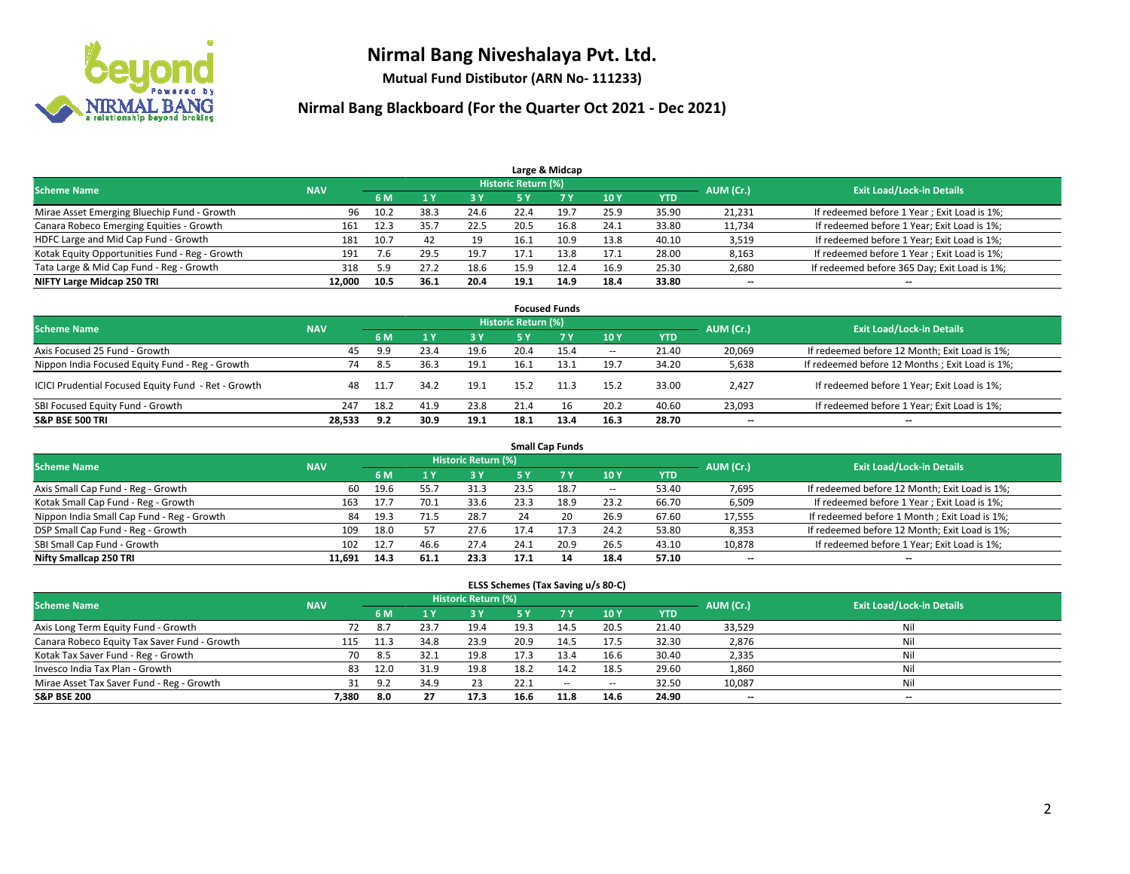

**Mutual Fund Distibutor (ARN No- 111233)**

| Large & Midcap                                 |            |      |      |      |                     |      |      |            |           |                                              |  |  |  |
|------------------------------------------------|------------|------|------|------|---------------------|------|------|------------|-----------|----------------------------------------------|--|--|--|
| <b>Scheme Name</b>                             | <b>NAV</b> |      |      |      | Historic Return (%) |      |      |            | AUM (Cr.) | <b>Exit Load/Lock-in Details</b>             |  |  |  |
|                                                |            | 6 M  |      | 3 Y  | 5 Y                 |      | 10Y  | <b>YTD</b> |           |                                              |  |  |  |
| Mirae Asset Emerging Bluechip Fund - Growth    | 96         | 10.2 | 38.3 | 24.6 | 22.4                | 19.7 | 25.9 | 35.90      | 21,231    | If redeemed before 1 Year; Exit Load is 1%;  |  |  |  |
| Canara Robeco Emerging Equities - Growth       | 161        | 12.3 | 35.7 | 22.5 | 20.5                | 16.8 | 24.1 | 33.80      | 11,734    | If redeemed before 1 Year; Exit Load is 1%;  |  |  |  |
| HDFC Large and Mid Cap Fund - Growth           | 181        | 10.7 | 42   | 19   | 16.1                | 10.9 | 13.8 | 40.10      | 3,519     | If redeemed before 1 Year; Exit Load is 1%;  |  |  |  |
| Kotak Equity Opportunities Fund - Reg - Growth | 191        | 7.6  | 29.5 | 19.7 |                     | 13.8 | 17.1 | 28.00      | 8,163     | If redeemed before 1 Year; Exit Load is 1%;  |  |  |  |
| Tata Large & Mid Cap Fund - Reg - Growth       | 318        | 5.9  | 27.2 | 18.6 | 15.9                | 12.4 | 16.9 | 25.30      | 2,680     | If redeemed before 365 Day; Exit Load is 1%; |  |  |  |
| NIFTY Large Midcap 250 TRI                     | 12.000     | 10.5 | 36.1 | 20.4 | 19.1                | 14.9 | 18.4 | 33.80      | $- -$     | $\overline{\phantom{a}}$                     |  |  |  |

| <b>Focused Funds</b>                                |            |      |      |      |                            |           |        |            |           |                                                 |  |  |  |
|-----------------------------------------------------|------------|------|------|------|----------------------------|-----------|--------|------------|-----------|-------------------------------------------------|--|--|--|
| <b>Scheme Name</b>                                  | <b>NAV</b> |      |      |      | <b>Historic Return (%)</b> |           |        |            | AUM (Cr.) | <b>Exit Load/Lock-in Details</b>                |  |  |  |
|                                                     |            | 6 M  | 1 Y  | 3 Y  | <b>5Y</b>                  | <b>7Y</b> | 10Y    | <b>YTD</b> |           |                                                 |  |  |  |
| Axis Focused 25 Fund - Growth                       | 45         | 9.9  | 23.4 | 19.6 | 20.4                       | 15.4      | $\sim$ | 21.40      | 20,069    | If redeemed before 12 Month; Exit Load is 1%;   |  |  |  |
| Nippon India Focused Equity Fund - Reg - Growth     | 74         | 8.5  | 36.3 | 19.1 | 16.1                       | 13.1      | 19.7   | 34.20      | 5,638     | If redeemed before 12 Months ; Exit Load is 1%; |  |  |  |
| ICICI Prudential Focused Equity Fund - Ret - Growth | 48         | 11.7 | 34.2 | 19.1 | 15.2                       | 11.3      | 15.2   | 33.00      | 2,427     | If redeemed before 1 Year; Exit Load is 1%;     |  |  |  |
| SBI Focused Equity Fund - Growth                    | 247        | 18.2 | 41.9 | 23.8 | 21.4                       | 16        | 20.2   | 40.60      | 23,093    | If redeemed before 1 Year; Exit Load is 1%;     |  |  |  |
| <b>S&amp;P BSE 500 TRI</b>                          | 28.533     | 9.2  | 30.9 | 19.1 | 18.1                       | 13.4      | 16.3   | 28.70      | $- -$     | $\overline{\phantom{a}}$                        |  |  |  |

|                                            | <b>Small Cap Funds</b> |      |      |                            |      |      |        |            |           |                                               |  |  |  |  |
|--------------------------------------------|------------------------|------|------|----------------------------|------|------|--------|------------|-----------|-----------------------------------------------|--|--|--|--|
| <b>Scheme Name</b>                         | <b>NAV</b>             |      |      | <b>Historic Return (%)</b> |      |      |        |            | AUM (Cr.) | <b>Exit Load/Lock-in Details</b>              |  |  |  |  |
|                                            |                        | 6 M  |      | 3 Y                        | 5 Y  |      | 10 Y   | <b>YTD</b> |           |                                               |  |  |  |  |
| Axis Small Cap Fund - Reg - Growth         | 60                     | 19.6 | 55.7 | 31.3                       | 23.5 | 18.7 | $\sim$ | 53.40      | 7,695     | If redeemed before 12 Month; Exit Load is 1%; |  |  |  |  |
| Kotak Small Cap Fund - Reg - Growth        | 163                    | 17.7 | 70.1 | 33.6                       | 23.3 | 18.9 | 23.2   | 66.70      | 6,509     | If redeemed before 1 Year; Exit Load is 1%;   |  |  |  |  |
| Nippon India Small Cap Fund - Reg - Growth | 84                     | 19.3 | 71.5 | 28.7                       | 24   | 20   | 26.9   | 67.60      | 17,555    | If redeemed before 1 Month; Exit Load is 1%;  |  |  |  |  |
| DSP Small Cap Fund - Reg - Growth          | 109                    | 18.0 |      | 27.6                       | 17.4 |      | 24.2   | 53.80      | 8,353     | If redeemed before 12 Month; Exit Load is 1%; |  |  |  |  |
| SBI Small Cap Fund - Growth                | 102                    | 12.7 | 46.6 | 27.4                       | 24.1 | 20.9 | 26.5   | 43.10      | 10,878    | If redeemed before 1 Year; Exit Load is 1%;   |  |  |  |  |
| Nifty Smallcap 250 TRI                     | 11.691                 | 14.3 | 61.1 | 23.3                       | 17.1 | 14   | 18.4   | 57.10      | $- -$     | $-$                                           |  |  |  |  |

| ELSS Schemes (Tax Saving u/s 80-C)           |            |      |      |                            |      |           |        |            |                          |                                  |  |  |  |
|----------------------------------------------|------------|------|------|----------------------------|------|-----------|--------|------------|--------------------------|----------------------------------|--|--|--|
| <b>Scheme Name</b>                           | <b>NAV</b> |      |      | <b>Historic Return (%)</b> |      |           |        |            | AUM (Cr.)                | <b>Exit Load/Lock-in Details</b> |  |  |  |
|                                              |            | 6 M  |      | 3 Y                        | 5 Y  | <b>7Y</b> | 10Y    | <b>YTD</b> |                          |                                  |  |  |  |
| Axis Long Term Equity Fund - Growth          | 72         | 8.7  | 23.7 | 19.4                       | 19.3 | 14.5      | 20.5   | 21.40      | 33,529                   | Nil                              |  |  |  |
| Canara Robeco Equity Tax Saver Fund - Growth | 115        | 11.3 | 34.8 | 23.9                       | 20.9 | 14.5      | 17.5   | 32.30      | 2,876                    | Nil                              |  |  |  |
| Kotak Tax Saver Fund - Reg - Growth          | 70         | 8.5  | 32.1 | 19.8                       | 17.3 | 13.4      | 16.6   | 30.40      | 2,335                    | Nil                              |  |  |  |
| Invesco India Tax Plan - Growth              | 83         | 12.0 | 31.9 | 19.8                       | 18.2 | 14.2      | 18.5   | 29.60      | 1,860                    | Nil                              |  |  |  |
| Mirae Asset Tax Saver Fund - Reg - Growth    | 31         | 9.2  | 34.9 | 23                         | 22.1 | $\sim$    | $\sim$ | 32.50      | 10,087                   | Nil                              |  |  |  |
| <b>S&amp;P BSE 200</b>                       | 7,380      | 8.0  | 27   | 17.3                       | 16.6 | 11.8      | 14.6   | 24.90      | $\overline{\phantom{a}}$ | $-$                              |  |  |  |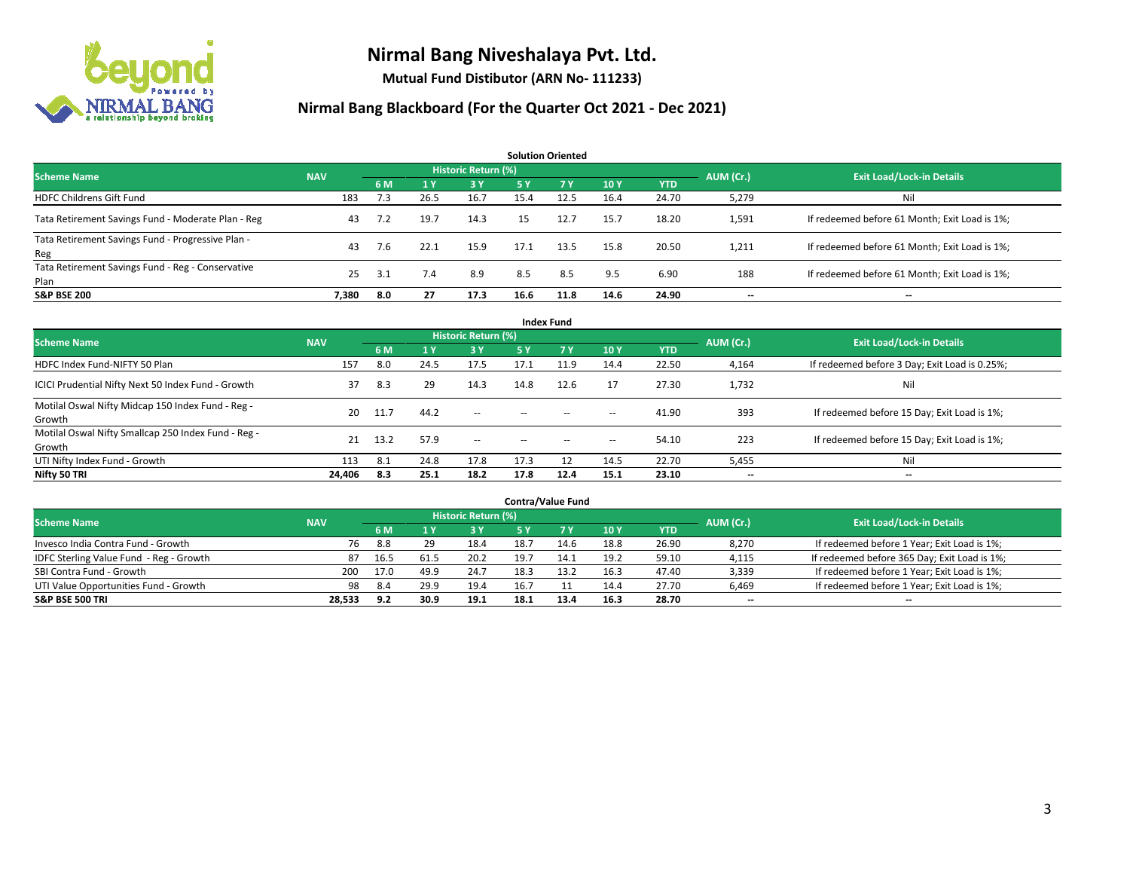

**Mutual Fund Distibutor (ARN No- 111233)**

| <b>Solution Oriented</b>                                  |            |     |      |                     |      |           |      |            |           |                                               |  |  |  |
|-----------------------------------------------------------|------------|-----|------|---------------------|------|-----------|------|------------|-----------|-----------------------------------------------|--|--|--|
| <b>Scheme Name</b>                                        | <b>NAV</b> |     |      | Historic Return (%) |      |           |      |            | AUM (Cr.) | <b>Exit Load/Lock-in Details</b>              |  |  |  |
|                                                           |            | 6 M | 1V   | 3 Y                 | 5 Y  | <b>7Y</b> | 10Y  | <b>YTD</b> |           |                                               |  |  |  |
| <b>HDFC Childrens Gift Fund</b>                           | 183        | 7.3 | 26.5 | 16.7                | 15.4 | 12.5      | 16.4 | 24.70      | 5,279     | Nil                                           |  |  |  |
| Tata Retirement Savings Fund - Moderate Plan - Reg        | 43         | 7.2 | 19.7 | 14.3                | 15   | 12.7      | 15.7 | 18.20      | 1,591     | If redeemed before 61 Month; Exit Load is 1%; |  |  |  |
| Tata Retirement Savings Fund - Progressive Plan -<br>Reg  | 43         | 7.6 | 22.1 | 15.9                | 17.1 | 13.5      | 15.8 | 20.50      | 1,211     | If redeemed before 61 Month; Exit Load is 1%; |  |  |  |
| Tata Retirement Savings Fund - Reg - Conservative<br>Plan | 25         | 3.1 | 7.4  | 8.9                 | 8.5  | 8.5       | 9.5  | 6.90       | 188       | If redeemed before 61 Month; Exit Load is 1%; |  |  |  |
| <b>S&amp;P BSE 200</b>                                    | 7.380      | 8.0 | 27   | 17.3                | 16.6 | 11.8      | 14.6 | 24.90      |           | --                                            |  |  |  |

| <b>Index Fund</b>                                             |            |      |      |                     |        |           |                          |            |                          |                                               |  |  |  |  |
|---------------------------------------------------------------|------------|------|------|---------------------|--------|-----------|--------------------------|------------|--------------------------|-----------------------------------------------|--|--|--|--|
| <b>Scheme Name</b>                                            | <b>NAV</b> |      |      | Historic Return (%) |        |           |                          |            | AUM (Cr.)                | <b>Exit Load/Lock-in Details</b>              |  |  |  |  |
|                                                               |            | 6 M  | 1Y   | 3 Y                 | 5 Y    | <b>7Y</b> | 10Y                      | <b>YTD</b> |                          |                                               |  |  |  |  |
| HDFC Index Fund-NIFTY 50 Plan                                 | 157        | 8.0  | 24.5 | 17.5                | 17.1   | 11.9      | 14.4                     | 22.50      | 4,164                    | If redeemed before 3 Day; Exit Load is 0.25%; |  |  |  |  |
| ICICI Prudential Nifty Next 50 Index Fund - Growth            | 37         | 8.3  | 29   | 14.3                | 14.8   | 12.6      | 17                       | 27.30      | 1,732                    | Nil                                           |  |  |  |  |
| Motilal Oswal Nifty Midcap 150 Index Fund - Reg -<br>Growth   | 20         | 11.7 | 44.2 | $\sim$              | $\sim$ | $\sim$    | $\overline{\phantom{a}}$ | 41.90      | 393                      | If redeemed before 15 Day; Exit Load is 1%;   |  |  |  |  |
| Motilal Oswal Nifty Smallcap 250 Index Fund - Reg -<br>Growth | 21         | 13.2 | 57.9 | $\sim$              | $\sim$ | $- -$     | $\hspace{0.05cm} \ldots$ | 54.10      | 223                      | If redeemed before 15 Day; Exit Load is 1%;   |  |  |  |  |
| UTI Nifty Index Fund - Growth                                 | 113        | 8.1  | 24.8 | 17.8                | 17.3   |           | 14.5                     | 22.70      | 5,455                    | Nil                                           |  |  |  |  |
| Nifty 50 TRI                                                  | 24,406     | 8.3  | 25.1 | 18.2                | 17.8   | 12.4      | 15.1                     | 23.10      | $\overline{\phantom{a}}$ | $- -$                                         |  |  |  |  |

|                                         |            |      |      |                            |      | <b>Contra/Value Fund</b> |      |       |           |                                              |
|-----------------------------------------|------------|------|------|----------------------------|------|--------------------------|------|-------|-----------|----------------------------------------------|
| <b>Scheme Name</b>                      | <b>NAV</b> |      |      | <b>Historic Return (%)</b> |      |                          |      |       | AUM (Cr.) | <b>Exit Load/Lock-in Details</b>             |
|                                         | 6 M        |      | 3 Y  |                            | 7 Y  | 10Y                      | YTD  |       |           |                                              |
| Invesco India Contra Fund - Growth      | 76         | 8.8  | 29   | 18.4                       | 18.7 | 14.6                     | 18.8 | 26.90 | 8,270     | If redeemed before 1 Year; Exit Load is 1%;  |
| IDFC Sterling Value Fund - Reg - Growth | 87         | 16.5 | 61.5 | 20.2                       | 19.7 |                          | 19.2 | 59.10 | 4,115     | If redeemed before 365 Day; Exit Load is 1%; |
| SBI Contra Fund - Growth                | 200        | 17.0 | 49.9 | 24.7                       | 18.3 | 13.2                     | 16.3 | 47.40 | 3,339     | If redeemed before 1 Year; Exit Load is 1%;  |
| UTI Value Opportunities Fund - Growth   | 98         | 8.4  | 29.9 | 19.4                       | 16.7 |                          | 14.4 | 27.70 | 6,469     | If redeemed before 1 Year; Exit Load is 1%;  |
| <b>S&amp;P BSE 500 TRI</b>              | 28,533     | 9.2  | 30.9 | 19.1                       | 18.1 | 13.4                     | 16.3 | 28.70 | $- -$     | $-$                                          |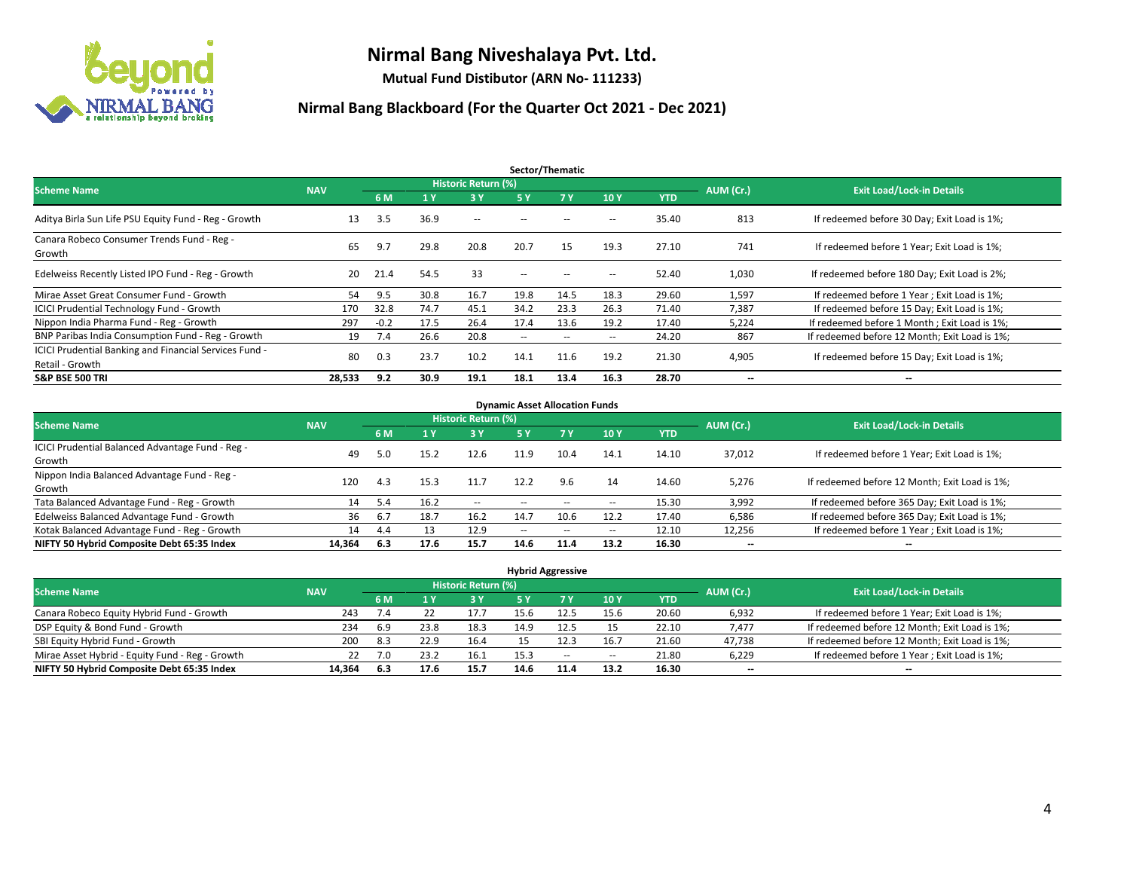

**Mutual Fund Distibutor (ARN No- 111233)**

| Sector/Thematic                                                           |            |        |      |                     |                          |                   |                          |            |                          |                                               |  |  |  |
|---------------------------------------------------------------------------|------------|--------|------|---------------------|--------------------------|-------------------|--------------------------|------------|--------------------------|-----------------------------------------------|--|--|--|
| <b>Scheme Name</b>                                                        | <b>NAV</b> |        |      | Historic Return (%) |                          |                   |                          |            | AUM (Cr.)                | <b>Exit Load/Lock-in Details</b>              |  |  |  |
|                                                                           |            | 6 M    | '1 Y | 3 Y                 | 5 Y                      | 7Y                | 10Y                      | <b>YTD</b> |                          |                                               |  |  |  |
| Aditya Birla Sun Life PSU Equity Fund - Reg - Growth                      | 13         | 3.5    | 36.9 | $\sim$ $-$          | $\overline{\phantom{a}}$ | --                | $\overline{\phantom{a}}$ | 35.40      | 813                      | If redeemed before 30 Day; Exit Load is 1%;   |  |  |  |
| Canara Robeco Consumer Trends Fund - Reg -<br>Growth                      | 65         | 9.7    | 29.8 | 20.8                | 20.7                     | 15                | 19.3                     | 27.10      | 741                      | If redeemed before 1 Year; Exit Load is 1%;   |  |  |  |
| Edelweiss Recently Listed IPO Fund - Reg - Growth                         | 20         | 21.4   | 54.5 | 33                  | $\overline{\phantom{a}}$ | $\hspace{0.05cm}$ | --                       | 52.40      | 1,030                    | If redeemed before 180 Day; Exit Load is 2%;  |  |  |  |
| Mirae Asset Great Consumer Fund - Growth                                  | 54         | 9.5    | 30.8 | 16.7                | 19.8                     | 14.5              | 18.3                     | 29.60      | 1,597                    | If redeemed before 1 Year; Exit Load is 1%;   |  |  |  |
| <b>ICICI Prudential Technology Fund - Growth</b>                          | 170        | 32.8   | 74.7 | 45.1                | 34.2                     | 23.3              | 26.3                     | 71.40      | 7,387                    | If redeemed before 15 Day; Exit Load is 1%;   |  |  |  |
| Nippon India Pharma Fund - Reg - Growth                                   | 297        | $-0.2$ | 17.5 | 26.4                | 17.4                     | 13.6              | 19.2                     | 17.40      | 5,224                    | If redeemed before 1 Month; Exit Load is 1%;  |  |  |  |
| BNP Paribas India Consumption Fund - Reg - Growth                         | 19         | 7.4    | 26.6 | 20.8                | $\overline{\phantom{a}}$ | $\sim$            | $\overline{\phantom{a}}$ | 24.20      | 867                      | If redeemed before 12 Month; Exit Load is 1%; |  |  |  |
| ICICI Prudential Banking and Financial Services Fund -<br>Retail - Growth | 80         | 0.3    | 23.7 | 10.2                | 14.1                     | 11.6              | 19.2                     | 21.30      | 4,905                    | If redeemed before 15 Day; Exit Load is 1%;   |  |  |  |
| <b>S&amp;P BSE 500 TRI</b>                                                | 28,533     | 9.2    | 30.9 | 19.1                | 18.1                     | 13.4              | 16.3                     | 28.70      | $\overline{\phantom{a}}$ | $\overline{\phantom{a}}$                      |  |  |  |

| <b>Dynamic Asset Allocation Funds</b>            |            |     |      |                     |      |                          |                          |            |           |                                               |  |  |  |
|--------------------------------------------------|------------|-----|------|---------------------|------|--------------------------|--------------------------|------------|-----------|-----------------------------------------------|--|--|--|
| <b>Scheme Name</b>                               | <b>NAV</b> |     |      | Historic Return (%) |      |                          |                          |            | AUM (Cr.) | <b>Exit Load/Lock-in Details</b>              |  |  |  |
|                                                  |            | 6 M |      | 3 Y                 | 5 Y  | 7 Y                      | 10Y                      | <b>YTD</b> |           |                                               |  |  |  |
| ICICI Prudential Balanced Advantage Fund - Reg - |            |     |      |                     |      |                          |                          |            |           |                                               |  |  |  |
| Growth                                           | 49         | 5.0 | 15.2 | 12.6                | 11.9 | 10.4                     | 14.1                     | 14.10      | 37,012    | If redeemed before 1 Year; Exit Load is 1%;   |  |  |  |
| Nippon India Balanced Advantage Fund - Reg -     |            | 4.3 |      |                     | 12.2 |                          |                          |            |           |                                               |  |  |  |
| Growth                                           | 120        |     | 15.3 | 11.7                |      | 9.6                      | 14                       | 14.60      | 5,276     | If redeemed before 12 Month; Exit Load is 1%; |  |  |  |
| Tata Balanced Advantage Fund - Reg - Growth      | 14         | 5.4 | 16.2 | $\sim$              |      |                          | $\sim$ $\sim$            | 15.30      | 3,992     | If redeemed before 365 Day; Exit Load is 1%;  |  |  |  |
| Edelweiss Balanced Advantage Fund - Growth       | 36         | 6.7 | 18.7 | 16.2                | 14.7 | 10.6                     | 12.2                     | 17.40      | 6,586     | If redeemed before 365 Day; Exit Load is 1%;  |  |  |  |
| Kotak Balanced Advantage Fund - Reg - Growth     | 14         | 4.4 | 13   | 12.9                | --   | $\overline{\phantom{a}}$ | $\overline{\phantom{a}}$ | 12.10      | 12,256    | If redeemed before 1 Year; Exit Load is 1%;   |  |  |  |
| NIFTY 50 Hybrid Composite Debt 65:35 Index       | 14,364     | 6.3 | 17.6 | 15.7                | 14.6 | 11.4                     | 13.2                     | 16.30      | --        | $- -$                                         |  |  |  |

| <b>Hybrid Aggressive</b>                        |            |     |           |                                  |      |       |                          |       |                          |                                               |  |  |  |  |
|-------------------------------------------------|------------|-----|-----------|----------------------------------|------|-------|--------------------------|-------|--------------------------|-----------------------------------------------|--|--|--|--|
| <b>Scheme Name</b>                              | <b>NAV</b> |     | AUM (Cr.) | <b>Exit Load/Lock-in Details</b> |      |       |                          |       |                          |                                               |  |  |  |  |
|                                                 |            | 6 M |           | 73 Y.                            | 5 Y  |       | 10Y                      | YTD   |                          |                                               |  |  |  |  |
| Canara Robeco Equity Hybrid Fund - Growth       | 243        | 7.4 |           | 17.7                             | 15.6 | 12.5  | 15.6                     | 20.60 | 6,932                    | If redeemed before 1 Year; Exit Load is 1%;   |  |  |  |  |
| DSP Equity & Bond Fund - Growth                 | 234        | 6.9 | 23.8      | 18.3                             | 14.9 | 12.5  |                          | 22.10 | 7.477                    | If redeemed before 12 Month; Exit Load is 1%; |  |  |  |  |
| SBI Equity Hybrid Fund - Growth                 | 200        | 8.3 | 22.9      | 16.4                             |      |       | 16.7                     | 21.60 | 47,738                   | If redeemed before 12 Month; Exit Load is 1%; |  |  |  |  |
| Mirae Asset Hybrid - Equity Fund - Reg - Growth | 22         | 7.0 | 23.2      | 16.1                             | 15.3 | $- -$ | $\overline{\phantom{a}}$ | 21.80 | 6,229                    | If redeemed before 1 Year; Exit Load is 1%;   |  |  |  |  |
| NIFTY 50 Hybrid Composite Debt 65:35 Index      | 14,364     | 6.3 | 17.6      | 15.7                             | 14.6 |       | 13.2                     | 16.30 | $\overline{\phantom{a}}$ | $\overline{\phantom{a}}$                      |  |  |  |  |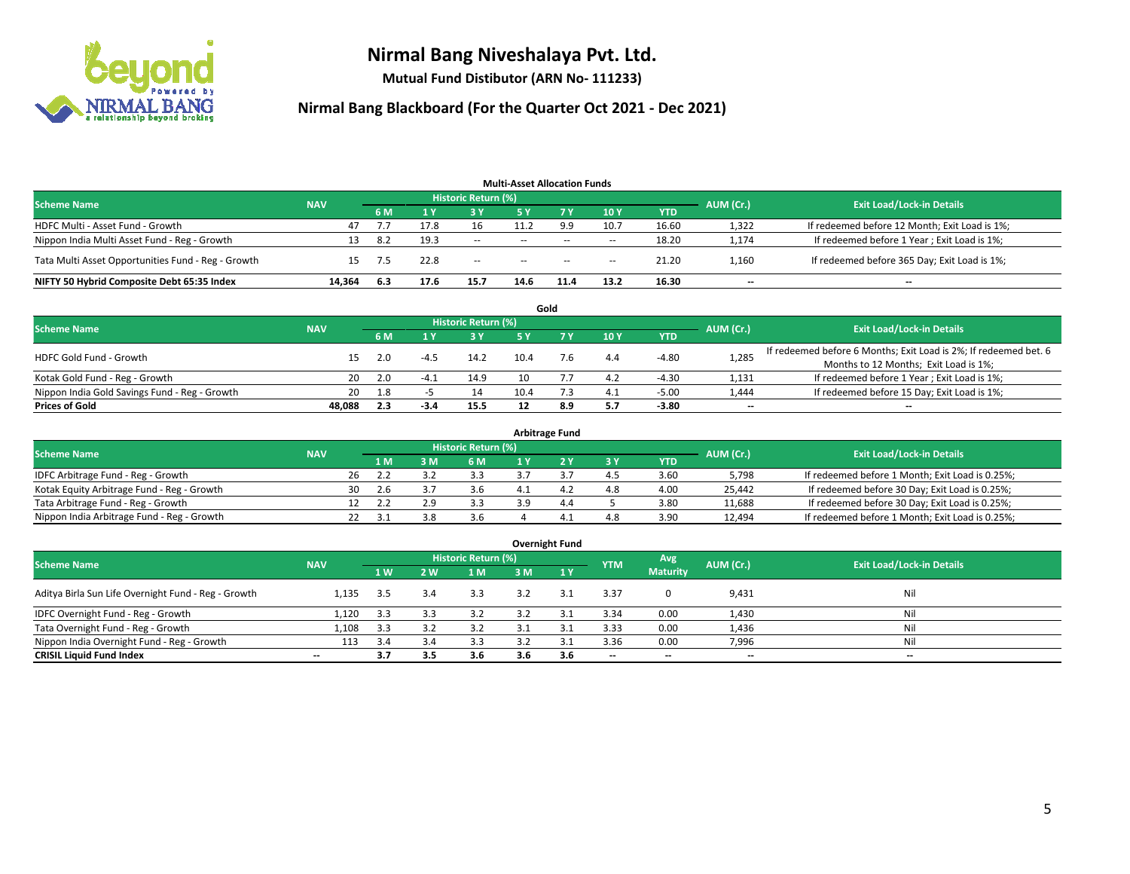

**Mutual Fund Distibutor (ARN No- 111233)**

| <b>Multi-Asset Allocation Funds</b>                |            |     |      |                            |      |           |        |            |           |                                               |  |  |  |
|----------------------------------------------------|------------|-----|------|----------------------------|------|-----------|--------|------------|-----------|-----------------------------------------------|--|--|--|
| <b>Scheme Name</b>                                 | <b>NAV</b> |     |      | <b>Historic Return (%)</b> |      |           |        |            | AUM (Cr.) | <b>Exit Load/Lock-in Details</b>              |  |  |  |
|                                                    |            | 6 M |      | 73 Y.                      | 5 Y  | <b>7Y</b> | 10Y    | <b>YTD</b> |           |                                               |  |  |  |
| HDFC Multi - Asset Fund - Growth                   | 47         |     | 17.8 | 16                         | 11.2 | 9.9       | 10.7   | 16.60      | 1,322     | If redeemed before 12 Month; Exit Load is 1%; |  |  |  |
| Nippon India Multi Asset Fund - Reg - Growth       |            | 8.2 | 19.3 | $-$                        | $-$  | $- -$     | $\sim$ | 18.20      | 1,174     | If redeemed before 1 Year; Exit Load is 1%;   |  |  |  |
| Tata Multi Asset Opportunities Fund - Reg - Growth | 15         | 7.5 | 22.8 | $-$                        | $-$  | $- -$     | $\sim$ | 21.20      | 1,160     | If redeemed before 365 Day; Exit Load is 1%;  |  |  |  |
| NIFTY 50 Hybrid Composite Debt 65:35 Index         | 14.364     | 6.3 | 17.6 | 15.7                       | 14.6 | 11.4      | 13.2   | 16.30      | $- -$     | $\overline{\phantom{a}}$                      |  |  |  |

|                                               |            |     |                            |      |      | Gold |           |                                  |       |                                                                  |
|-----------------------------------------------|------------|-----|----------------------------|------|------|------|-----------|----------------------------------|-------|------------------------------------------------------------------|
| <b>Scheme Name</b>                            | <b>NAV</b> |     | <b>Historic Return (%)</b> |      |      |      | AUM (Cr.) | <b>Exit Load/Lock-in Details</b> |       |                                                                  |
|                                               |            | 6 M |                            | 3 Y  |      |      | 10Y       | <b>YTD</b>                       |       |                                                                  |
| <b>HDFC Gold Fund - Growth</b>                |            |     |                            | 14.2 | 10.4 |      | 4.4       | $-4.80$                          | 1,285 | If redeemed before 6 Months; Exit Load is 2%; If redeemed bet. 6 |
|                                               |            |     | -4.5                       |      |      |      |           |                                  |       | Months to 12 Months; Exit Load is 1%;                            |
| Kotak Gold Fund - Reg - Growth                | 20         |     |                            | 14.9 |      |      | 4.2       | $-4.30$                          | 1,131 | If redeemed before 1 Year; Exit Load is 1%;                      |
| Nippon India Gold Savings Fund - Reg - Growth | 20         | 1.8 |                            |      | 10.4 |      | 4.1       | $-5.00$                          | 1,444 | If redeemed before 15 Day; Exit Load is 1%;                      |
| <b>Prices of Gold</b>                         | 48.088     | 2.3 | $-3.4$                     | 15.5 |      | 8.9  | 5.7       | $-3.80$                          | $- -$ | $\overline{\phantom{a}}$                                         |

| <b>Arbitrage Fund</b>                      |            |                                  |      |   |     |  |     |           |            |           |                                                 |  |  |
|--------------------------------------------|------------|----------------------------------|------|---|-----|--|-----|-----------|------------|-----------|-------------------------------------------------|--|--|
| <b>Scheme Name</b>                         |            | <b>Exit Load/Lock-in Details</b> |      |   |     |  |     |           |            |           |                                                 |  |  |
|                                            | <b>NAV</b> |                                  | 1 M  | M | 6 M |  |     | <b>3Y</b> | <b>YTD</b> | AUM (Cr.) |                                                 |  |  |
| IDFC Arbitrage Fund - Reg - Growth         |            | 26                               |      |   | 3.3 |  |     | 4.5       | 3.60       | 5.798     | If redeemed before 1 Month; Exit Load is 0.25%; |  |  |
| Kotak Equity Arbitrage Fund - Reg - Growth |            | 30                               | .2.b |   | 3.6 |  |     | 4.8       | 4.00       | 25.442    | If redeemed before 30 Day; Exit Load is 0.25%;  |  |  |
| Tata Arbitrage Fund - Reg - Growth         |            |                                  |      |   | 3.3 |  | 4.4 |           | 3.80       | 11,688    | If redeemed before 30 Day; Exit Load is 0.25%;  |  |  |
| Nippon India Arbitrage Fund - Reg - Growth |            |                                  | -41  |   | 3.6 |  |     | 4.8       | 3.90       | 12,494    | If redeemed before 1 Month; Exit Load is 0.25%; |  |  |

|                                                     |                          |     |     |                            |     | <b>Overnight Fund</b> |            |                          |           |                                  |
|-----------------------------------------------------|--------------------------|-----|-----|----------------------------|-----|-----------------------|------------|--------------------------|-----------|----------------------------------|
| <b>Scheme Name</b>                                  | <b>NAV</b>               |     |     | <b>Historic Return (%)</b> |     |                       | <b>YTM</b> | Avg                      | AUM (Cr.) | <b>Exit Load/Lock-in Details</b> |
|                                                     |                          | 1 W | 2 W | 1 M                        | 3 M | $\sqrt{1}$ Y          |            | <b>Maturity</b>          |           |                                  |
| Aditya Birla Sun Life Overnight Fund - Reg - Growth | 1.135                    | 3.5 | 3.4 | 3.3                        | 3.2 | 3.1                   | 3.37       |                          | 9,431     | Nil                              |
| IDFC Overnight Fund - Reg - Growth                  | 1,120                    | 3.3 | 3.3 | 3.2                        | 3.2 | 3.1                   | 3.34       | 0.00                     | 1,430     | Nil                              |
| Tata Overnight Fund - Reg - Growth                  | 1,108                    | 3.3 | 3.2 | 3.2                        |     | 3.1                   | 3.33       | 0.00                     | 1,436     | Nil                              |
| Nippon India Overnight Fund - Reg - Growth          | 113                      | 3.4 | 3.4 | 3.3                        | 3.2 | 3.1                   | 3.36       | 0.00                     | 7,996     | Nil                              |
| <b>CRISIL Liquid Fund Index</b>                     | $\overline{\phantom{a}}$ | 3.7 | 3.5 | 3.6                        | 3.6 | 3.6                   | --         | $\overline{\phantom{a}}$ | $- -$     | $- -$                            |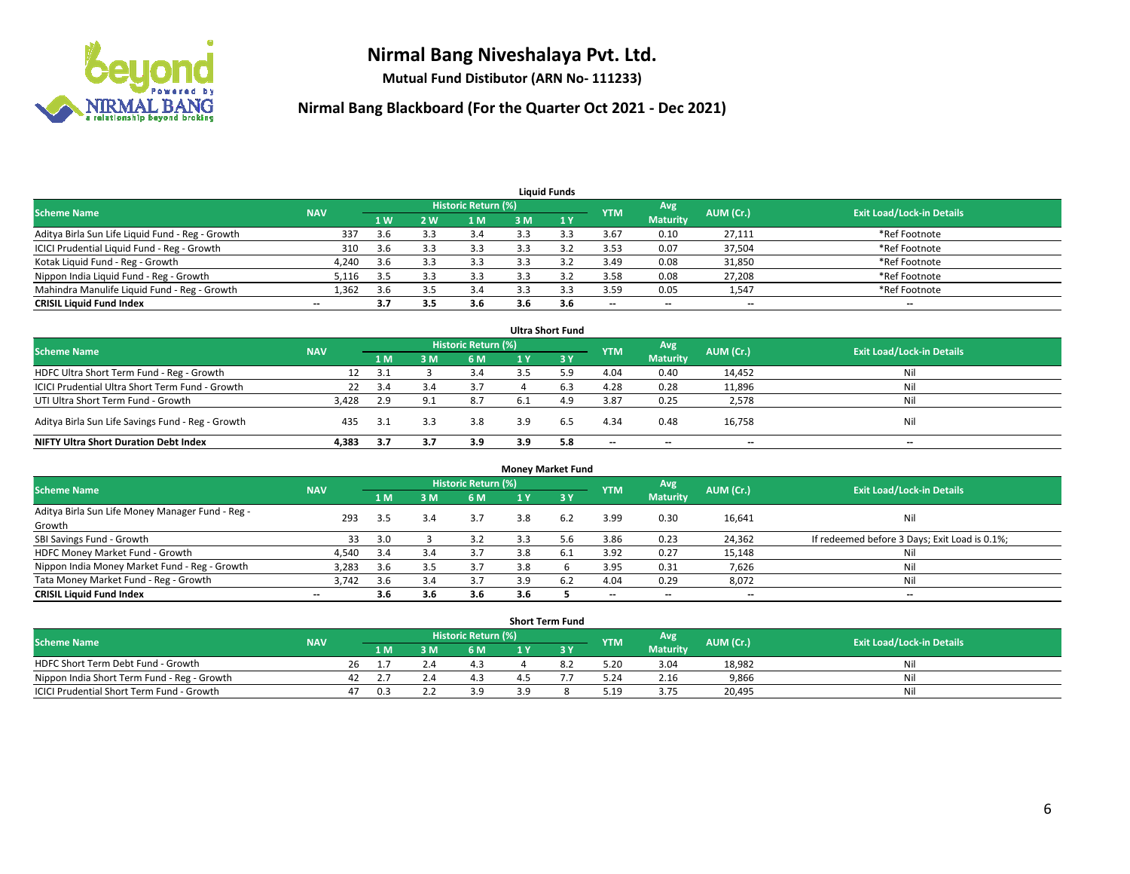

**Mutual Fund Distibutor (ARN No- 111233)**

| <b>Liquid Funds</b>                              |                          |                |     |                            |     |     |            |                 |                          |                                  |  |  |  |
|--------------------------------------------------|--------------------------|----------------|-----|----------------------------|-----|-----|------------|-----------------|--------------------------|----------------------------------|--|--|--|
| <b>Scheme Name</b>                               | <b>NAV</b>               |                |     | <b>Historic Return (%)</b> |     |     | <b>YTM</b> | Avg             | AUM (Cr.)                | <b>Exit Load/Lock-in Details</b> |  |  |  |
|                                                  |                          | 1 <sub>W</sub> | 2 W | l M                        | 3 M | 1Y  |            | <b>Maturity</b> |                          |                                  |  |  |  |
| Aditya Birla Sun Life Liquid Fund - Reg - Growth | 337                      | 3.6            |     | 3.4                        |     |     | 3.67       | 0.10            | 27,111                   | *Ref Footnote                    |  |  |  |
| ICICI Prudential Liquid Fund - Reg - Growth      | 310                      | 3.6            |     | 3.3                        |     |     | 3.53       | 0.07            | 37,504                   | *Ref Footnote                    |  |  |  |
| Kotak Liquid Fund - Reg - Growth                 | 4,240                    | 3.6            | 3.3 | 3.3                        |     |     | 3.49       | 0.08            | 31,850                   | *Ref Footnote                    |  |  |  |
| Nippon India Liquid Fund - Reg - Growth          | 5,116                    | 3.5            |     | 3.3                        |     |     | 3.58       | 0.08            | 27,208                   | *Ref Footnote                    |  |  |  |
| Mahindra Manulife Liquid Fund - Reg - Growth     | 1,362                    | 3.6            | 3.5 | 3.4                        |     | 3.3 | 3.59       | 0.05            | 1,547                    | *Ref Footnote                    |  |  |  |
| <b>CRISIL Liquid Fund Index</b>                  | $\overline{\phantom{a}}$ | 3.7            | 3.5 | 3.6                        | 3.6 | 3.6 | $-$        | $- -$           | $\overline{\phantom{a}}$ | $- -$                            |  |  |  |

| <b>Ultra Short Fund</b>                           |            |      |     |                            |      |           |                          |                          |           |                                  |  |  |  |
|---------------------------------------------------|------------|------|-----|----------------------------|------|-----------|--------------------------|--------------------------|-----------|----------------------------------|--|--|--|
| <b>Scheme Name</b>                                | <b>NAV</b> |      |     | <b>Historic Return (%)</b> |      |           | <b>YTM</b>               | Avg                      | AUM (Cr.) | <b>Exit Load/Lock-in Details</b> |  |  |  |
|                                                   |            | 1 M  | 3 M | 6 M                        |      | <b>3Y</b> |                          | <b>Maturity</b>          |           |                                  |  |  |  |
| HDFC Ultra Short Term Fund - Reg - Growth         | 12         | 3.1  |     | 3.4                        |      | 5.9       | 4.04                     | 0.40                     | 14,452    | Nil                              |  |  |  |
| ICICI Prudential Ultra Short Term Fund - Growth   | 22         | 3.4  |     | 3.7                        |      | 6.3       | 4.28                     | 0.28                     | 11,896    | Nil                              |  |  |  |
| UTI Ultra Short Term Fund - Growth                | 3,428      | 2.9  | 9.1 | 8.7                        | -6.1 | 4.9       | 3.87                     | 0.25                     | 2,578     | Nil                              |  |  |  |
| Aditya Birla Sun Life Savings Fund - Reg - Growth | 435        | -3.1 |     | 3.8                        | 3.9  | 6.5       | 4.34                     | 0.48                     | 16,758    | Nil                              |  |  |  |
| <b>NIFTY Ultra Short Duration Debt Index</b>      | 4,383      | 3.7  | 3.7 | 3.9                        | 3.9  | 5.8       | $\overline{\phantom{a}}$ | $\overline{\phantom{a}}$ | $- -$     | $- -$                            |  |  |  |

| <b>Money Market Fund</b>                         |            |     |     |                     |     |     |            |                          |           |                                               |  |  |  |
|--------------------------------------------------|------------|-----|-----|---------------------|-----|-----|------------|--------------------------|-----------|-----------------------------------------------|--|--|--|
| <b>Scheme Name</b>                               | <b>NAV</b> |     |     | Historic Return (%) |     |     | <b>YTM</b> | Avg                      | AUM (Cr.) | <b>Exit Load/Lock-in Details</b>              |  |  |  |
|                                                  |            | 1 M | ៵៳  | 6 M                 |     | 3Y  |            | <b>Maturity</b>          |           |                                               |  |  |  |
| Aditya Birla Sun Life Money Manager Fund - Reg - | 293        | 3.5 | 3.4 | 3.7                 | 3.8 |     | 3.99       | 0.30                     | 16,641    | Nil                                           |  |  |  |
| Growth                                           |            |     |     |                     |     |     |            |                          |           |                                               |  |  |  |
| SBI Savings Fund - Growth                        | 33         | 3.0 |     | 3.2                 | 3.3 | b   | 3.86       | 0.23                     | 24,362    | If redeemed before 3 Days; Exit Load is 0.1%; |  |  |  |
| HDFC Money Market Fund - Growth                  | 4,540      | 3.4 | 3.4 | 3.7                 | 3.8 | 6.1 | 3.92       | 0.27                     | 15,148    | Nil                                           |  |  |  |
| Nippon India Money Market Fund - Reg - Growth    | 3,283      | 3.6 |     | 3.7                 | 3.8 |     | 3.95       | 0.31                     | 7,626     | Nil                                           |  |  |  |
| Tata Money Market Fund - Reg - Growth            | 3.742      | 3.6 | 3.4 | 3.7                 | 3.9 |     | 4.04       | 0.29                     | 8,072     | Nil                                           |  |  |  |
| <b>CRISIL Liquid Fund Index</b>                  | $- -$      | 3.6 | 3.6 | 3.6                 | 3.6 |     | $-$        | $\overline{\phantom{a}}$ | $- -$     | $- -$                                         |  |  |  |

| <b>Short Term Fund</b>                      |            |    |                                                       |          |     |                                  |  |      |                 |        |     |  |  |  |
|---------------------------------------------|------------|----|-------------------------------------------------------|----------|-----|----------------------------------|--|------|-----------------|--------|-----|--|--|--|
| Scheme Name                                 | <b>NAV</b> |    | Historic Return (%)<br>Avg<br>AUM (Cr.)<br><b>YTM</b> |          |     | <b>Exit Load/Lock-in Details</b> |  |      |                 |        |     |  |  |  |
|                                             |            |    | 1 M I                                                 |          | 6 M |                                  |  |      | <b>Maturity</b> |        |     |  |  |  |
| HDFC Short Term Debt Fund - Growth          |            | 26 |                                                       |          |     |                                  |  | 5.20 | 3.04            | 18,982 | Nil |  |  |  |
| Nippon India Short Term Fund - Reg - Growth |            | 42 |                                                       |          |     |                                  |  | 5.24 | 2.16            | 9,866  | Nil |  |  |  |
| ICICI Prudential Short Term Fund - Growth   |            | 47 | 0.3                                                   | <u>.</u> | 3.9 | ם ב                              |  | 5.19 | 3.75            | 20,495 | Nil |  |  |  |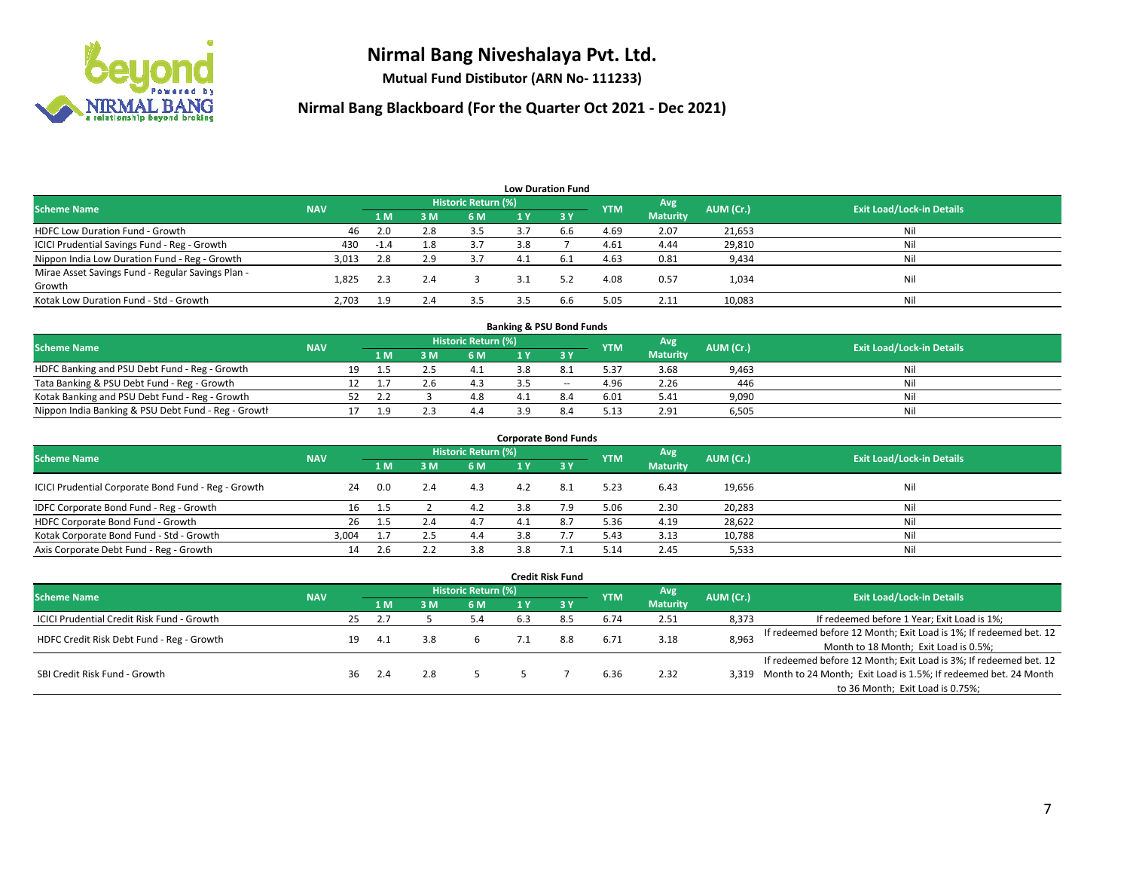

**Mutual Fund Distibutor (ARN No- 111233)**

| <b>Low Duration Fund</b>                          |            |        |     |                     |     |              |            |                 |           |                                  |  |  |  |
|---------------------------------------------------|------------|--------|-----|---------------------|-----|--------------|------------|-----------------|-----------|----------------------------------|--|--|--|
| <b>Scheme Name</b>                                | <b>NAV</b> |        |     | Historic Return (%) |     |              | <b>YTM</b> | Avg             | AUM (Cr.) | <b>Exit Load/Lock-in Details</b> |  |  |  |
|                                                   |            | 1 M    | 3M  | 6 M                 | 1 Y | $\sqrt{3}$ V |            | <b>Maturity</b> |           |                                  |  |  |  |
| <b>HDFC Low Duration Fund - Growth</b>            | 46         | 2.0    | 2.8 | 3.5                 | 37  | 6.6          | 4.69       | 2.07            | 21,653    | Nil                              |  |  |  |
| ICICI Prudential Savings Fund - Reg - Growth      | 430        | $-1.4$ | 1.8 | 3.7                 | 3.8 |              | 4.61       | 4.44            | 29,810    | Nil                              |  |  |  |
| Nippon India Low Duration Fund - Reg - Growth     | 3,013      | 2.8    | 2.9 | 3.7                 | 4.1 | 6.1          | 4.63       | 0.81            | 9,434     | Nil                              |  |  |  |
| Mirae Asset Savings Fund - Regular Savings Plan - | 1.825      | 2.3    | 2.4 |                     |     | 5.2          | 4.08       | 0.57            | 1,034     | Nil                              |  |  |  |
| Growth                                            |            |        |     |                     |     |              |            |                 |           |                                  |  |  |  |
| Kotak Low Duration Fund - Std - Growth            | 2,703      | 1.9    | 2.4 | 3.5                 |     | 6.6          | 5.05       | 2.11            | 10,083    | Nil                              |  |  |  |

| <b>Banking &amp; PSU Bond Funds</b>                 |            |    |     |  |                     |     |        |            |                 |           |                                  |  |  |
|-----------------------------------------------------|------------|----|-----|--|---------------------|-----|--------|------------|-----------------|-----------|----------------------------------|--|--|
| <b>Scheme Name</b>                                  | <b>NAV</b> |    |     |  | Historic Return (%) |     |        | <b>YTM</b> | Avg             | AUM (Cr.) | <b>Exit Load/Lock-in Details</b> |  |  |
|                                                     |            |    | 1 M |  | 6 M                 |     |        |            | <b>Maturity</b> |           |                                  |  |  |
| HDFC Banking and PSU Debt Fund - Reg - Growth       |            | 19 |     |  | 4.1                 | 3.8 |        | 5.37       | 3.68            | 9,463     | Nil                              |  |  |
| Tata Banking & PSU Debt Fund - Reg - Growth         |            |    |     |  |                     |     | $\sim$ | 4.96       | 2.26            | 446       | Nil                              |  |  |
| Kotak Banking and PSU Debt Fund - Reg - Growth      |            |    |     |  |                     |     |        | 6.01       | 5.41            | 9,090     | Nil                              |  |  |
| Nippon India Banking & PSU Debt Fund - Reg - Growth |            |    |     |  |                     | ם פ |        | 5.13       | 2.91            | 6.505     | Nil                              |  |  |

| <b>Corporate Bond Funds</b>                         |            |      |     |                            |              |      |            |                        |           |                                  |  |
|-----------------------------------------------------|------------|------|-----|----------------------------|--------------|------|------------|------------------------|-----------|----------------------------------|--|
| <b>Scheme Name</b>                                  | <b>NAV</b> |      |     | <b>Historic Return (%)</b> |              |      | <b>YTM</b> | Avg<br><b>Maturity</b> | AUM (Cr.) | <b>Exit Load/Lock-in Details</b> |  |
|                                                     |            | 1 M  | 3 M | 6 M                        |              | -3 Y |            |                        |           |                                  |  |
| ICICI Prudential Corporate Bond Fund - Reg - Growth | 24         | 0.0  |     | 4.3                        | 4.2          | 8.1  | 5.23       | 6.43                   | 19,656    | Nil                              |  |
| IDFC Corporate Bond Fund - Reg - Growth             | 16         | -1.5 |     | 4.2                        | 3.8          | 7.9  | 5.06       | 2.30                   | 20,283    | Nil                              |  |
| HDFC Corporate Bond Fund - Growth                   | 26         | 1.5  |     |                            | $\mathbf{1}$ | 8.7  | 5.36       | 4.19                   | 28,622    | Nil                              |  |
| Kotak Corporate Bond Fund - Std - Growth            | 3.004      | 1.7  |     | 4.4                        | 3.8          |      | 5.43       | 3.13                   | 10,788    | Nil                              |  |
| Axis Corporate Debt Fund - Reg - Growth             | 14         |      |     | 3.8                        | 3.8          |      | 5.14       | 2.45                   | 5,533     | Nil                              |  |

|                                                   |            |    |     |     |                     |     | <b>Credit Risk Fund</b> |            |                 |           |                                                                       |
|---------------------------------------------------|------------|----|-----|-----|---------------------|-----|-------------------------|------------|-----------------|-----------|-----------------------------------------------------------------------|
| <b>Scheme Name</b>                                | <b>NAV</b> |    |     |     | Historic Return (%) |     |                         | <b>YTM</b> | Avg             | AUM (Cr.) | <b>Exit Load/Lock-in Details</b>                                      |
|                                                   |            |    | 1 M | 3 M | 6 M                 | 1 Y | $\sqrt{3}$ Y            |            | <b>Maturity</b> |           |                                                                       |
| <b>ICICI Prudential Credit Risk Fund - Growth</b> |            | 25 | 2.7 |     | 5.4                 | 6.3 | 8.5                     | 6.74       | 2.51            | 8,373     | If redeemed before 1 Year; Exit Load is 1%;                           |
| HDFC Credit Risk Debt Fund - Reg - Growth         |            | 19 | 4.1 | 3.8 |                     |     | 8.8                     | 6.71       | 3.18            | 8,963     | If redeemed before 12 Month; Exit Load is 1%; If redeemed bet. 12     |
|                                                   |            |    |     |     |                     |     |                         |            |                 |           | Month to 18 Month; Exit Load is 0.5%;                                 |
| SBI Credit Risk Fund - Growth                     |            |    |     |     |                     |     |                         |            |                 |           | If redeemed before 12 Month; Exit Load is 3%; If redeemed bet. 12     |
|                                                   |            | 36 | 2.4 |     |                     |     |                         | 6.36       | 2.32            |           | 3,319 Month to 24 Month; Exit Load is 1.5%; If redeemed bet. 24 Month |
|                                                   |            |    |     |     |                     |     |                         |            |                 |           | to 36 Month; Exit Load is 0.75%;                                      |